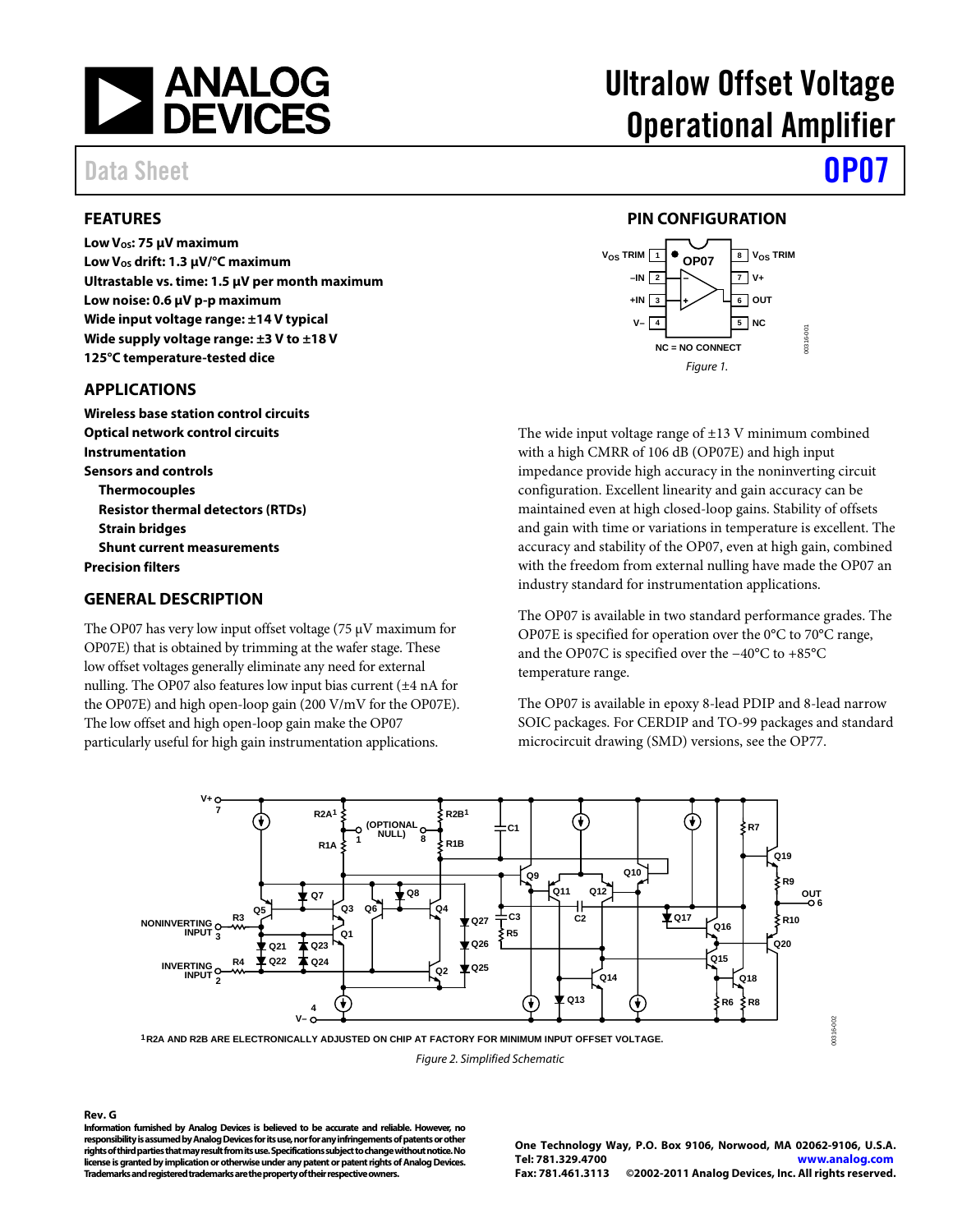

Data Sheet **[OP07](www.analog.com/OP07)** 

#### <span id="page-0-0"></span>**FEATURES**

**Low V<sub>os</sub>: 75 μV maximum** Low V<sub>os</sub> drift: 1.3 μV/<sup>o</sup>C maximum **Ultrastable vs. time: 1.5 μV per month maximum Low noise: 0.6 μV p-p maximum Wide input voltage range: ±14 V typical Wide supply voltage range: ±3 V to ±18 V 125°C temperature-tested dice**

#### <span id="page-0-1"></span>**APPLICATIONS**

**Wireless base station control circuits Optical network control circuits Instrumentation Sensors and controls Thermocouples Resistor thermal detectors (RTDs) Strain bridges Shunt current measurements Precision filters**

#### <span id="page-0-2"></span>**GENERAL DESCRIPTION**

The OP07 has very low input offset voltage (75 μV maximum for OP07E) that is obtained by trimming at the wafer stage. These low offset voltages generally eliminate any need for external nulling. The OP07 also features low input bias current (±4 nA for the OP07E) and high open-loop gain (200 V/mV for the OP07E). The low offset and high open-loop gain make the OP07 particularly useful for high gain instrumentation applications.

# Ultralow Offset Voltage Operational Amplifier

### **PIN CONFIGURATION**

<span id="page-0-3"></span>

The wide input voltage range of  $\pm 13$  V minimum combined with a high CMRR of 106 dB (OP07E) and high input impedance provide high accuracy in the noninverting circuit configuration. Excellent linearity and gain accuracy can be maintained even at high closed-loop gains. Stability of offsets and gain with time or variations in temperature is excellent. The accuracy and stability of the OP07, even at high gain, combined with the freedom from external nulling have made the OP07 an industry standard for instrumentation applications.

The OP07 is available in two standard performance grades. The OP07E is specified for operation over the 0°C to 70°C range, and the OP07C is specified over the −40°C to +85°C temperature range.

The OP07 is available in epoxy 8-lead PDIP and 8-lead narrow SOIC packages. For CERDIP and TO-99 packages and standard microcircuit drawing (SMD) versions, see the OP77.



*Figure 2. Simplified Schematic*

#### **Rev. G**

**Information furnished by Analog Devices is believed to be accurate and reliable. However, no responsibility is assumed by Analog Devices for its use, nor for any infringements of patents or other rights of third parties that may result from its use. Specificationssubject to change without notice. No license is granted by implication or otherwise under any patent or patent rights of Analog Devices. Trademarks and registered trademarks are the property of their respective owners.**

**One Technology Way, P.O. Box 9106, Norwood, MA 02062-9106, U.S.A. Tel: 781.329.4700 [www.analog.com](http://www.analog.com/) Fax: 781.461.3113 ©2002-2011 Analog Devices, Inc. All rights reserved.**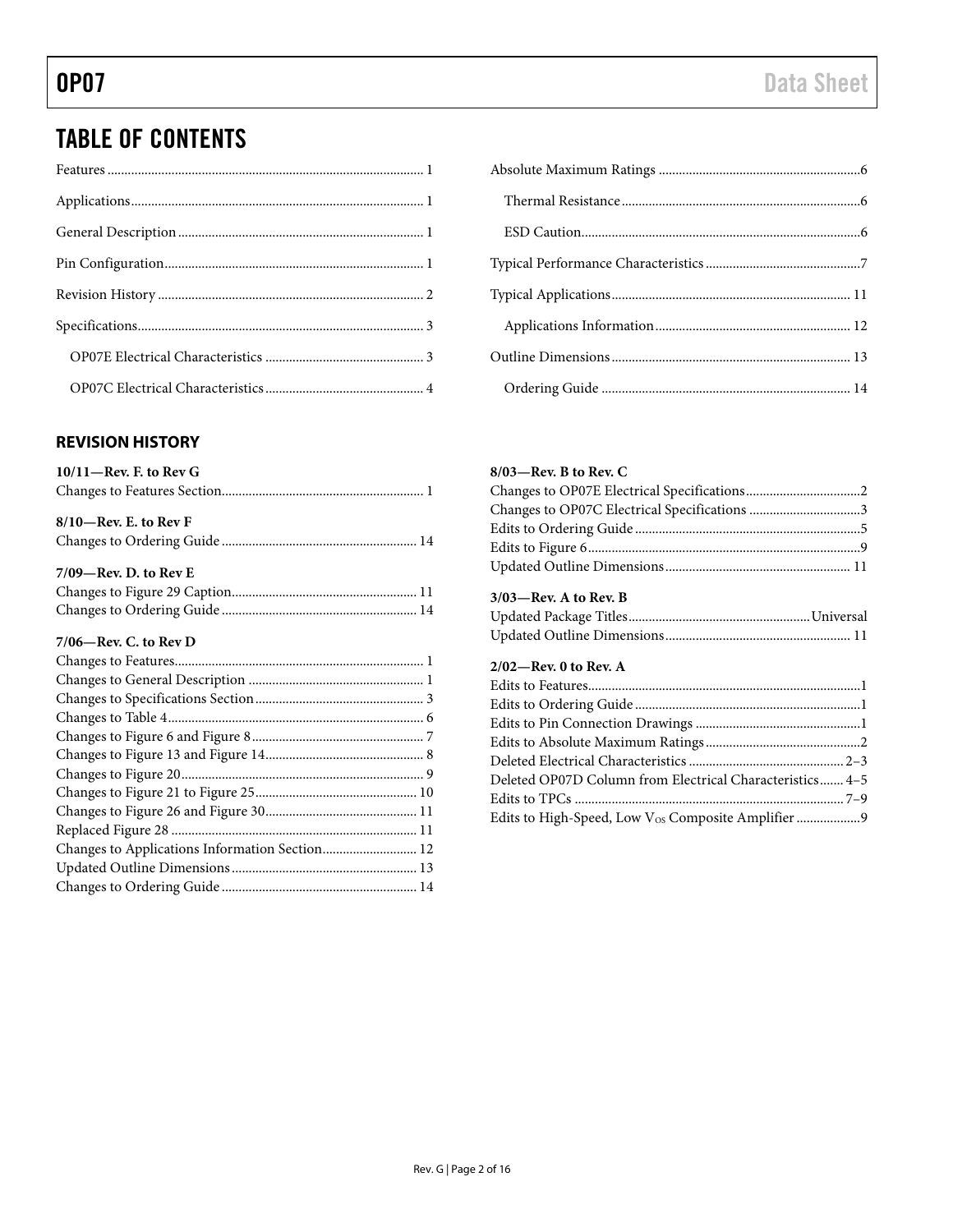## TABLE OF CONTENTS

### <span id="page-1-0"></span>**REVISION HISTORY**

| $10/11$ -Rev. F. to Rev G                      |  |
|------------------------------------------------|--|
|                                                |  |
| $8/10$ -Rev. E. to Rev F                       |  |
|                                                |  |
| $7/09$ —Rev. D. to Rev E                       |  |
|                                                |  |
|                                                |  |
| $7/06$ —Rev. C. to Rev D                       |  |
|                                                |  |
|                                                |  |
|                                                |  |
|                                                |  |
|                                                |  |
|                                                |  |
|                                                |  |
|                                                |  |
|                                                |  |
|                                                |  |
| Changes to Applications Information Section 12 |  |
|                                                |  |
|                                                |  |
|                                                |  |

### **8/03—Rev. B to Rev. C** Changes to OP07E Electrical Specifications..................................2 Changes to OP07C Electrical Specifications .................................3 Edits to Ordering Guide ...................................................................5 Edits to Figure 6.................................................................................9 Updated Outline Dimensions....................................................... 11 **3/03—Rev. A to Rev. B** Updated Package Titles......................................................Universal Updated Outline Dimensions....................................................... 11 **2/02—Rev. 0 to Rev. A** Edits to Features.................................................................................1 Edits to Ordering Guide ...................................................................1 Edits to Pin Connection Drawings .................................................1 Edits to Absolute Maximum Ratings..............................................2 Deleted Electrical Characteristics.............................................. 2–3 Deleted OP07D Column from Electrical Characteristics....... 4–5 Edits to TPCs ................................................................................ 7–9 Edits to High-Speed, Low V<sub>os</sub> Composite Amplifier...................9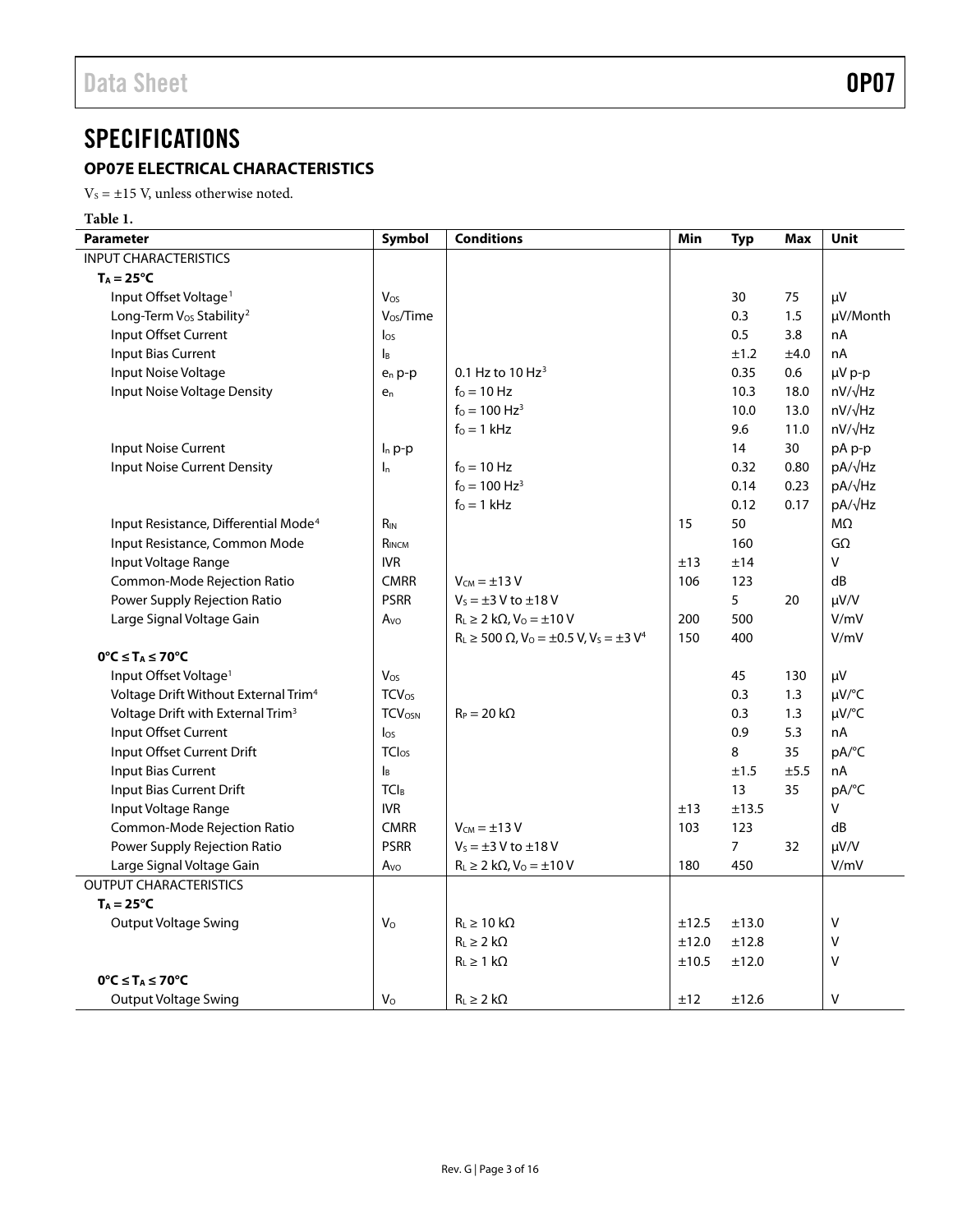## <span id="page-2-0"></span>**SPECIFICATIONS**

### <span id="page-2-1"></span>**OP07E ELECTRICAL CHARACTERISTICS**

 $V_s = \pm 15$  V, unless otherwise noted.

**Table 1.**

| <b>Parameter</b>                                 | Symbol                    | <b>Conditions</b>                                            | Min        | <b>Typ</b>     | Max  | Unit           |
|--------------------------------------------------|---------------------------|--------------------------------------------------------------|------------|----------------|------|----------------|
| <b>INPUT CHARACTERISTICS</b>                     |                           |                                                              |            |                |      |                |
| $T_A = 25^{\circ}C$                              |                           |                                                              |            |                |      |                |
| Input Offset Voltage <sup>1</sup>                | Vos                       |                                                              |            | 30             | 75   | μV             |
| Long-Term V <sub>os</sub> Stability <sup>2</sup> | V <sub>os</sub> /Time     |                                                              |            | 0.3            | 1.5  | µV/Month       |
| Input Offset Current                             | $\log$                    |                                                              |            | 0.5            | 3.8  | nA             |
| <b>Input Bias Current</b>                        | IB                        |                                                              |            | ±1.2           | ±4.0 | nA             |
| Input Noise Voltage                              | e <sub>n</sub> p-p        | 0.1 Hz to $10$ Hz <sup>3</sup>                               |            | 0.35           | 0.6  | µV p-p         |
| Input Noise Voltage Density                      | $e_n$                     | $f_0 = 10$ Hz                                                |            | 10.3           | 18.0 | $nV/\sqrt{Hz}$ |
|                                                  |                           | $f_0 = 100 \text{ Hz}^3$                                     |            | 10.0           | 13.0 | $nV/\sqrt{Hz}$ |
|                                                  |                           | $f0 = 1$ kHz                                                 |            | 9.6            | 11.0 | $nV/\sqrt{Hz}$ |
| <b>Input Noise Current</b>                       | $I_n$ p-p                 |                                                              |            | 14             | 30   | pA p-p         |
| <b>Input Noise Current Density</b>               | $\mathsf{I}_n$            | $f0 = 10 Hz$                                                 |            | 0.32           | 0.80 | pA/√Hz         |
|                                                  |                           | $f_0 = 100 \text{ Hz}^3$                                     |            | 0.14           | 0.23 | pA/√Hz         |
|                                                  |                           | $f_0 = 1$ kHz                                                |            | 0.12           | 0.17 | pA/√Hz         |
| Input Resistance, Differential Mode <sup>4</sup> | $R_{IN}$                  |                                                              | 15         | 50             |      | $M\Omega$      |
| Input Resistance, Common Mode                    | RINCM                     |                                                              |            | 160            |      | $G\Omega$      |
| Input Voltage Range                              | <b>IVR</b>                |                                                              | ±13        | ±14            |      | $\mathsf{V}$   |
| Common-Mode Rejection Ratio                      | <b>CMRR</b>               | $V_{CM} = \pm 13 V$                                          | 106        | 123            |      | dB             |
| Power Supply Rejection Ratio                     | <b>PSRR</b>               | $V_s = \pm 3$ V to $\pm 18$ V                                |            | 5              | 20   | $\mu V/V$      |
| Large Signal Voltage Gain                        | Avo                       | $R_L \geq 2 k\Omega$ , $V_0 = \pm 10 V$                      | 200        | 500            |      | V/mV           |
|                                                  |                           | $R_L \ge 500 \Omega$ , $V_0 = \pm 0.5 V$ , $V_s = \pm 3 V^4$ | 150        | 400            |      | V/mV           |
| $0^{\circ}C \leq T_A \leq 70^{\circ}C$           |                           |                                                              |            |                |      |                |
| Input Offset Voltage <sup>1</sup>                | Vos                       |                                                              |            | 45             | 130  | μV             |
| Voltage Drift Without External Trim <sup>4</sup> | $TCV_{OS}$                |                                                              |            | 0.3            | 1.3  | µV/°C          |
| Voltage Drift with External Trim <sup>3</sup>    | <b>TCVOSN</b>             | $R_P = 20 k\Omega$                                           |            | 0.3            | 1.3  | µV/°C          |
| Input Offset Current                             | $I_{OS}$                  |                                                              |            | 0.9            | 5.3  | nA             |
| Input Offset Current Drift                       | <b>TClos</b>              |                                                              |            | 8              | 35   | pA/°C          |
| <b>Input Bias Current</b>                        | $\mathsf{I}_{\mathsf{B}}$ |                                                              |            | ±1.5           | ±5.5 | nA             |
| Input Bias Current Drift                         | <b>TCIB</b>               |                                                              |            | 13             | 35   | pA/°C          |
| Input Voltage Range                              | <b>IVR</b>                |                                                              | ±13        | ±13.5          |      | V              |
| Common-Mode Rejection Ratio                      | <b>CMRR</b>               | $V_{CM} = \pm 13 V$                                          | 103        | 123            |      | dB             |
| Power Supply Rejection Ratio                     | <b>PSRR</b>               | $V_s = \pm 3$ V to $\pm 18$ V                                |            | $\overline{7}$ | 32   | $\mu V/V$      |
| Large Signal Voltage Gain                        | Avo                       | $R_L \geq 2 k\Omega$ , $V_0 = \pm 10 V$                      | 180        | 450            |      | V/mV           |
| <b>OUTPUT CHARACTERISTICS</b>                    |                           |                                                              |            |                |      |                |
| $T_A = 25^{\circ}C$                              |                           |                                                              |            |                |      |                |
| <b>Output Voltage Swing</b>                      | $\mathsf{V}\circ$         | $R_L \geq 10 k\Omega$                                        | ±12.5      | ±13.0          |      | V              |
|                                                  |                           | $R_L \geq 2 k\Omega$                                         | $\pm 12.0$ | ±12.8          |      | $\vee$         |
|                                                  |                           | $R_L \geq 1$ kΩ                                              | ±10.5      | ±12.0          |      | V              |
| $0^{\circ}C \leq T_A \leq 70^{\circ}C$           |                           |                                                              |            |                |      |                |
| Output Voltage Swing                             | $V_{\rm O}$               | $R_L \geq 2 k\Omega$                                         | ±12        | ±12.6          |      | V              |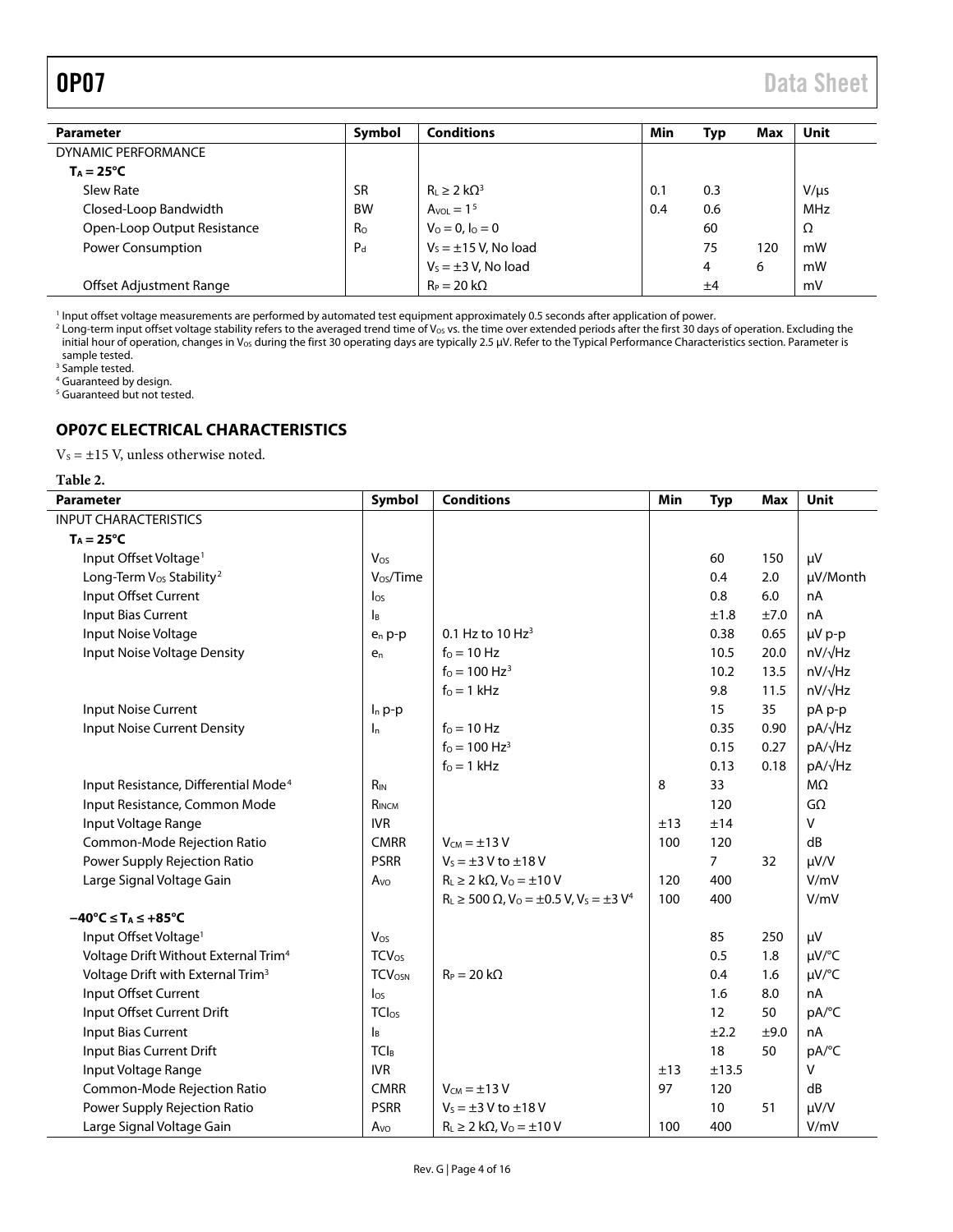<span id="page-3-1"></span>

| <b>Parameter</b>            | Symbol    | <b>Conditions</b>         | Min | Typ | Max | Unit       |
|-----------------------------|-----------|---------------------------|-----|-----|-----|------------|
| DYNAMIC PERFORMANCE         |           |                           |     |     |     |            |
| $T_A = 25^{\circ}C$         |           |                           |     |     |     |            |
| Slew Rate                   | <b>SR</b> | $R_{L} \geq 2 k\Omega^3$  | 0.1 | 0.3 |     | $V/\mu s$  |
| Closed-Loop Bandwidth       | <b>BW</b> | $A_{VOL} = 1^5$           | 0.4 | 0.6 |     | <b>MHz</b> |
| Open-Loop Output Resistance | Ro        | $V_0 = 0, I_0 = 0$        |     | 60  |     | Ω          |
| <b>Power Consumption</b>    | $P_{d}$   | $V_s = \pm 15$ V, No load |     | 75  | 120 | mW         |
|                             |           | $V_s = \pm 3$ V, No load  |     | 4   | 6   | mW         |
| Offset Adjustment Range     |           | $R_P = 20 k\Omega$        |     | ±4  |     | mV         |

<sup>1</sup> Input offset voltage measurements are performed by automated test equipment approximately 0.5 seconds after application of power.

 $^2$  Long-term input offset voltage stability refers to the averaged trend time of V<sub>os</sub> vs. the time over extended periods after the first 30 days of operation. Excluding the initial hour of operation, changes in Vos during the first 30 operating days are typically 2.5 µV. Refer to th[e Typical Performance Characteristics](#page-6-0) section. Parameter is sample tested.

<sup>3</sup> Sample tested.

<sup>4</sup> Guaranteed by design.

<span id="page-3-0"></span><sup>5</sup> Guaranteed but not tested.

### **OP07C ELECTRICAL CHARACTERISTICS**

 $\mathrm{V}_\mathrm{S} = \pm 15$  V, unless otherwise noted.

| ٠<br>۹ |  |
|--------|--|
|--------|--|

| <b>Parameter</b>                                              | Symbol                   | <b>Conditions</b>                                            | Min | <b>Typ</b>     | <b>Max</b> | <b>Unit</b>     |
|---------------------------------------------------------------|--------------------------|--------------------------------------------------------------|-----|----------------|------------|-----------------|
| <b>INPUT CHARACTERISTICS</b>                                  |                          |                                                              |     |                |            |                 |
| $T_A = 25^{\circ}C$                                           |                          |                                                              |     |                |            |                 |
| Input Offset Voltage <sup>1</sup>                             | Vos                      |                                                              |     | 60             | 150        | μV              |
| Long-Term V <sub>os</sub> Stability <sup>2</sup>              | Vos/Time                 |                                                              |     | 0.4            | 2.0        | µV/Month        |
| Input Offset Current                                          | $\log$                   |                                                              |     | 0.8            | 6.0        | nA              |
| Input Bias Current                                            | Iв                       |                                                              |     | ±1.8           | ±7.0       | nA              |
| Input Noise Voltage                                           | $e_n$ p-p                | 0.1 Hz to $10$ Hz <sup>3</sup>                               |     | 0.38           | 0.65       | µV p-p          |
| Input Noise Voltage Density                                   | $e_n$                    | $f0 = 10 Hz$                                                 |     | 10.5           | 20.0       | $nV/\sqrt{Hz}$  |
|                                                               |                          | $f_0 = 100 \text{ Hz}^3$                                     |     | 10.2           | 13.5       | $nV/\sqrt{Hz}$  |
|                                                               |                          | $f_0 = 1$ kHz                                                |     | 9.8            | 11.5       | nV/√Hz          |
| Input Noise Current                                           | $I_n$ p-p                |                                                              |     | 15             | 35         | pA p-p          |
| <b>Input Noise Current Density</b>                            | $\mathsf{I}_n$           | $f0 = 10 Hz$                                                 |     | 0.35           | 0.90       | pA/√Hz          |
|                                                               |                          | $f_0 = 100 \text{ Hz}^3$                                     |     | 0.15           | 0.27       | pA/√Hz          |
|                                                               |                          | $f_0 = 1$ kHz                                                |     | 0.13           | 0.18       | pA/ $\sqrt{Hz}$ |
| Input Resistance, Differential Mode <sup>4</sup>              | $R_{IN}$                 |                                                              | 8   | 33             |            | $M\Omega$       |
| Input Resistance, Common Mode                                 | RINCM                    |                                                              |     | 120            |            | $G\Omega$       |
| Input Voltage Range                                           | <b>IVR</b>               |                                                              | ±13 | ±14            |            | $\vee$          |
| Common-Mode Rejection Ratio                                   | <b>CMRR</b>              | $V_{CM} = \pm 13 V$                                          | 100 | 120            |            | dB              |
| Power Supply Rejection Ratio                                  | <b>PSRR</b>              | $V_s = \pm 3$ V to $\pm 18$ V                                |     | $\overline{7}$ | 32         | $\mu V/V$       |
| Large Signal Voltage Gain                                     | A <sub>VO</sub>          | $R_L \geq 2 k\Omega$ , $V_0 = \pm 10 V$                      | 120 | 400            |            | V/mV            |
|                                                               |                          | $R_L \ge 500 \Omega$ , $V_0 = \pm 0.5 V$ , $V_s = \pm 3 V^4$ | 100 | 400            |            | V/mV            |
| $-40^{\circ}$ C $\leq$ T <sub>A</sub> $\leq$ +85 $^{\circ}$ C |                          |                                                              |     |                |            |                 |
| Input Offset Voltage <sup>1</sup>                             | Vos                      |                                                              |     | 85             | 250        | μV              |
| Voltage Drift Without External Trim <sup>4</sup>              | <b>TCV</b> <sub>os</sub> |                                                              |     | 0.5            | 1.8        | µV/°C           |
| Voltage Drift with External Trim <sup>3</sup>                 | <b>TCVOSN</b>            | $R_P = 20 k\Omega$                                           |     | 0.4            | 1.6        | µV/°C           |
| Input Offset Current                                          | $\log$                   |                                                              |     | 1.6            | 8.0        | nA              |
| Input Offset Current Drift                                    | TCI <sub>OS</sub>        |                                                              |     | 12             | 50         | pA/°C           |
| Input Bias Current                                            | Iв                       |                                                              |     | ±2.2           | ±9.0       | nA              |
| Input Bias Current Drift                                      | TCI <sub>B</sub>         |                                                              |     | 18             | 50         | pA/°C           |
| Input Voltage Range                                           | <b>IVR</b>               |                                                              | ±13 | ±13.5          |            | $\vee$          |
| Common-Mode Rejection Ratio                                   | <b>CMRR</b>              | $V_{CM} = \pm 13 V$                                          | 97  | 120            |            | dB              |
| Power Supply Rejection Ratio                                  | <b>PSRR</b>              | $V_s = \pm 3$ V to $\pm 18$ V                                |     | 10             | 51         | $\mu V/V$       |
| Large Signal Voltage Gain                                     | $A_{VQ}$                 | $R_L \geq 2 k\Omega$ , $V_0 = \pm 10 V$                      | 100 | 400            |            | V/mV            |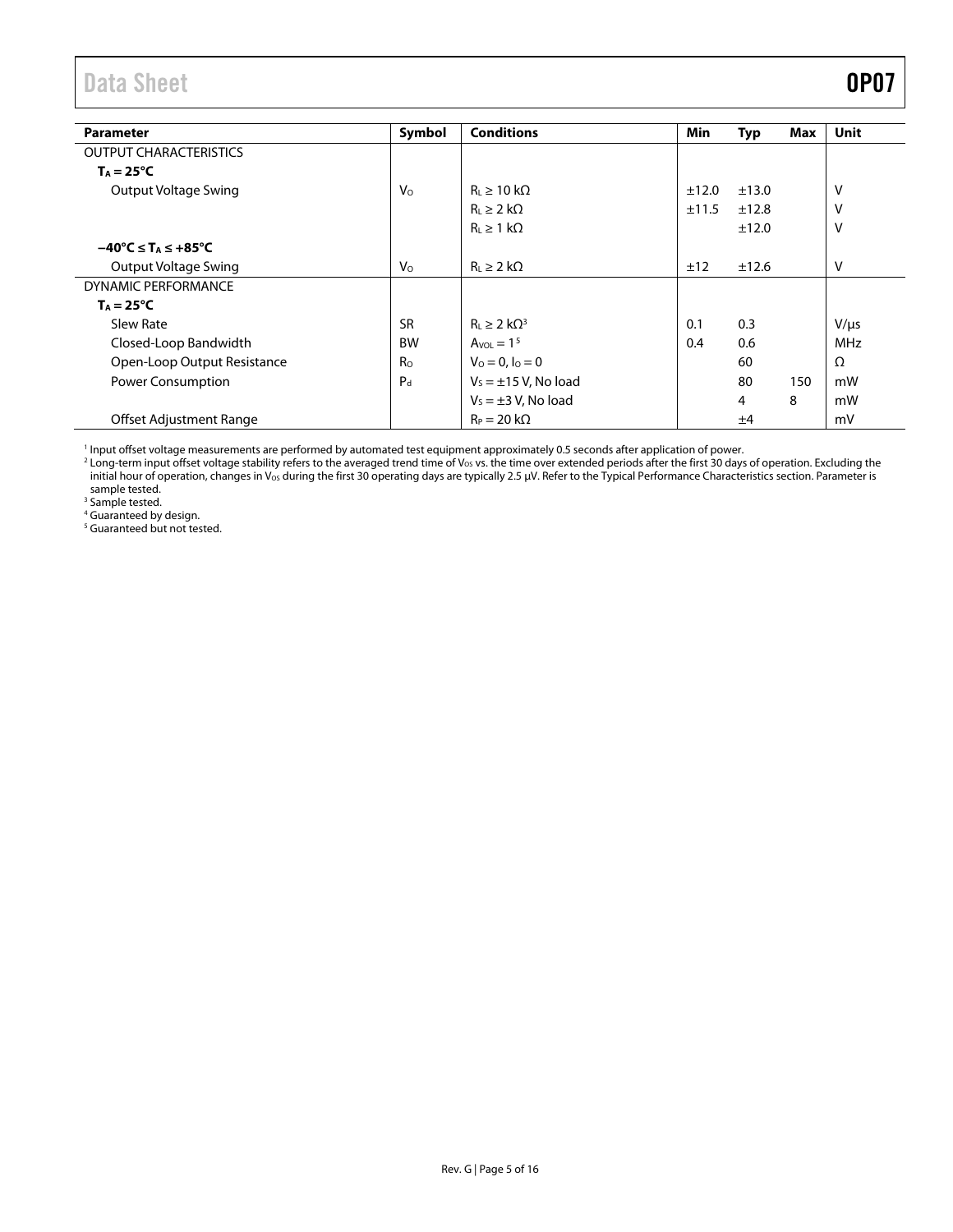Data Sheet **OP07** 

| <b>Parameter</b>                                              | Symbol         | <b>Conditions</b>         | Min   | Typ   | Max | Unit      |
|---------------------------------------------------------------|----------------|---------------------------|-------|-------|-----|-----------|
|                                                               |                |                           |       |       |     |           |
| <b>OUTPUT CHARACTERISTICS</b>                                 |                |                           |       |       |     |           |
| $T_A = 25^{\circ}C$                                           |                |                           |       |       |     |           |
| Output Voltage Swing                                          | V <sub>o</sub> | $R1 \ge 10 k\Omega$       | ±12.0 | ±13.0 |     | v         |
|                                                               |                | $R_L \geq 2 k\Omega$      | ±11.5 | ±12.8 |     | v         |
|                                                               |                | $R_L \geq 1 k\Omega$      |       | ±12.0 |     | v         |
| $-40^{\circ}$ C $\leq$ T <sub>A</sub> $\leq$ +85 $^{\circ}$ C |                |                           |       |       |     |           |
| Output Voltage Swing                                          | $V_{\rm O}$    | $R_L \geq 2 k\Omega$      | ±12   | ±12.6 |     | V         |
| <b>DYNAMIC PERFORMANCE</b>                                    |                |                           |       |       |     |           |
| $T_A = 25^{\circ}C$                                           |                |                           |       |       |     |           |
| Slew Rate                                                     | <b>SR</b>      | $R_1 \geq 2 k\Omega^3$    | 0.1   | 0.3   |     | $V/\mu s$ |
| Closed-Loop Bandwidth                                         | <b>BW</b>      | $AvOL = 15$               | 0.4   | 0.6   |     | MHz       |
| Open-Loop Output Resistance                                   | R <sub>O</sub> | $V_0 = 0, I_0 = 0$        |       | 60    |     | $\Omega$  |
| <b>Power Consumption</b>                                      | $P_d$          | $V_s = \pm 15$ V, No load |       | 80    | 150 | mW        |
|                                                               |                | $V_s = \pm 3$ V, No load  |       | 4     | 8   | mW        |
| Offset Adjustment Range                                       |                | $R_P = 20 k\Omega$        |       | ±4    |     | mV        |

<span id="page-4-0"></span><sup>1</sup> Input offset voltage measurements are performed by automated test equipment approximately 0.5 seconds after application of power.

<span id="page-4-1"></span><sup>2</sup> Long-term input offset voltage stability refers to the averaged trend time of V<sub>os</sub> vs. the time over extended periods after the first 30 days of operation. Excluding the initial hour of operation, changes in V<sub>os</sub> during the first 30 operating days are typically 2.5 µV. Refer to th[e Typical Performance Characteristics](#page-6-0) section. Parameter is sample tested.

<sup>3</sup> Sample tested.

<sup>4</sup> Guaranteed by design.

<sup>5</sup> Guaranteed but not tested.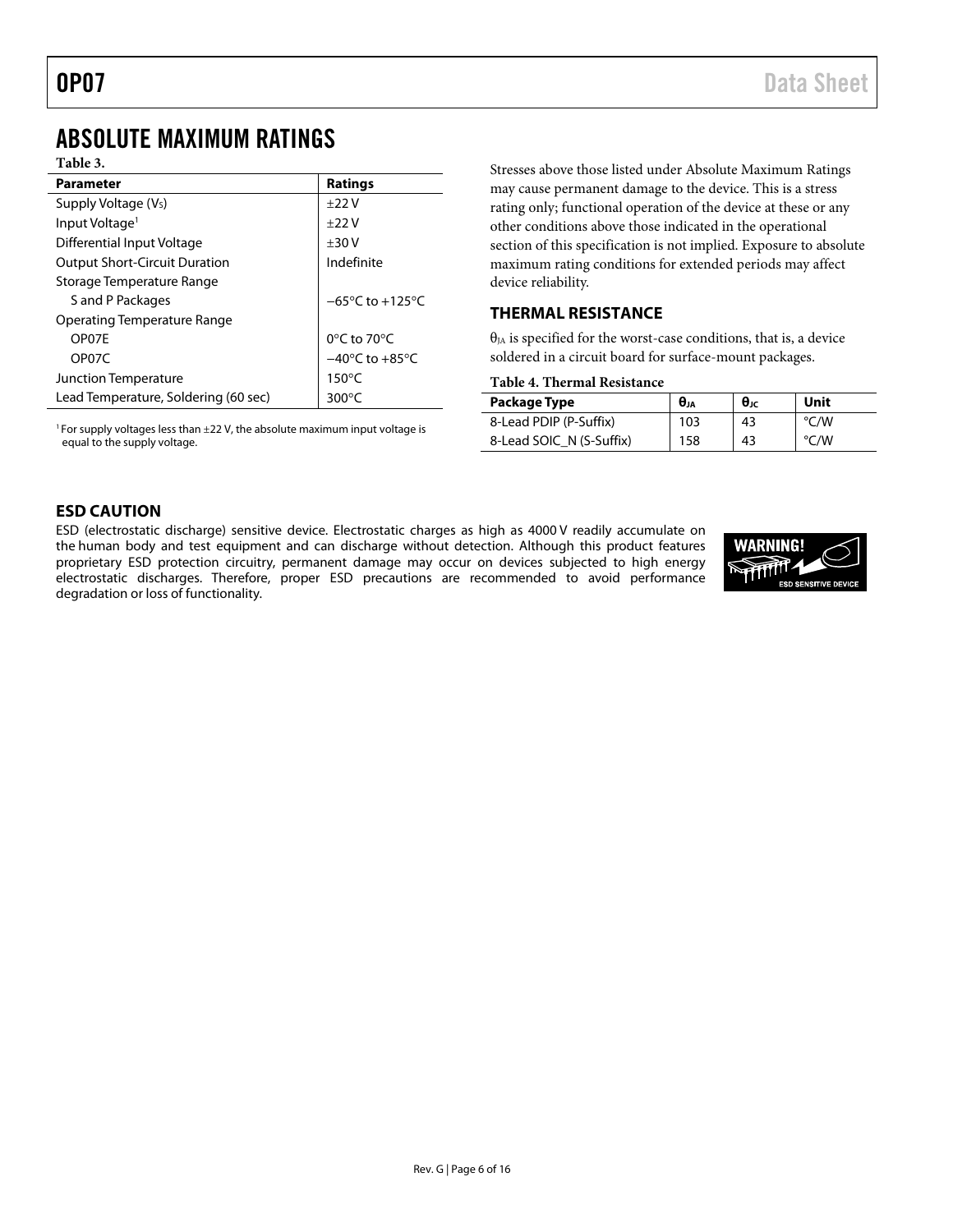### <span id="page-5-0"></span>ABSOLUTE MAXIMUM RATINGS

#### **Table 3.**

| <b>Parameter</b>                     | <b>Ratings</b>                      |
|--------------------------------------|-------------------------------------|
| Supply Voltage (V <sub>s</sub> )     | $+22V$                              |
| Input Voltage <sup>1</sup>           | $+22V$                              |
| Differential Input Voltage           | $+30V$                              |
| <b>Output Short-Circuit Duration</b> | Indefinite                          |
| Storage Temperature Range            |                                     |
| S and P Packages                     | $-65^{\circ}$ C to $+125^{\circ}$ C |
| <b>Operating Temperature Range</b>   |                                     |
| OP07F                                | 0°C to 70°C                         |
| OP07C                                | $-40^{\circ}$ C to $+85^{\circ}$ C  |
| <b>Junction Temperature</b>          | $150^{\circ}$ C                     |
| Lead Temperature, Soldering (60 sec) | 300 $\mathrm{^{\circ}C}$            |

<sup>1</sup> For supply voltages less than  $\pm$ 22 V, the absolute maximum input voltage is equal to the supply voltage.

Stresses above those listed under Absolute Maximum Ratings may cause permanent damage to the device. This is a stress rating only; functional operation of the device at these or any other conditions above those indicated in the operational section of this specification is not implied. Exposure to absolute maximum rating conditions for extended periods may affect device reliability.

### <span id="page-5-1"></span>**THERMAL RESISTANCE**

 $\theta_{JA}$  is specified for the worst-case conditions, that is, a device soldered in a circuit board for surface-mount packages.

| Table 4. Thermal Resistance |  |
|-----------------------------|--|
|-----------------------------|--|

| Package Type             | $\theta_{JA}$ | $\theta_{\rm JC}$ | Unit |
|--------------------------|---------------|-------------------|------|
| 8-Lead PDIP (P-Suffix)   | 103           | 43                | °C/W |
| 8-Lead SOIC N (S-Suffix) | 158           | 43                | °C/W |

#### <span id="page-5-2"></span>**ESD CAUTION**

ESD (electrostatic discharge) sensitive device. Electrostatic charges as high as 4000 V readily accumulate on the human body and test equipment and can discharge without detection. Although this product features proprietary ESD protection circuitry, permanent damage may occur on devices subjected to high energy electrostatic discharges. Therefore, proper ESD precautions are recommended to avoid performance degradation or loss of functionality.

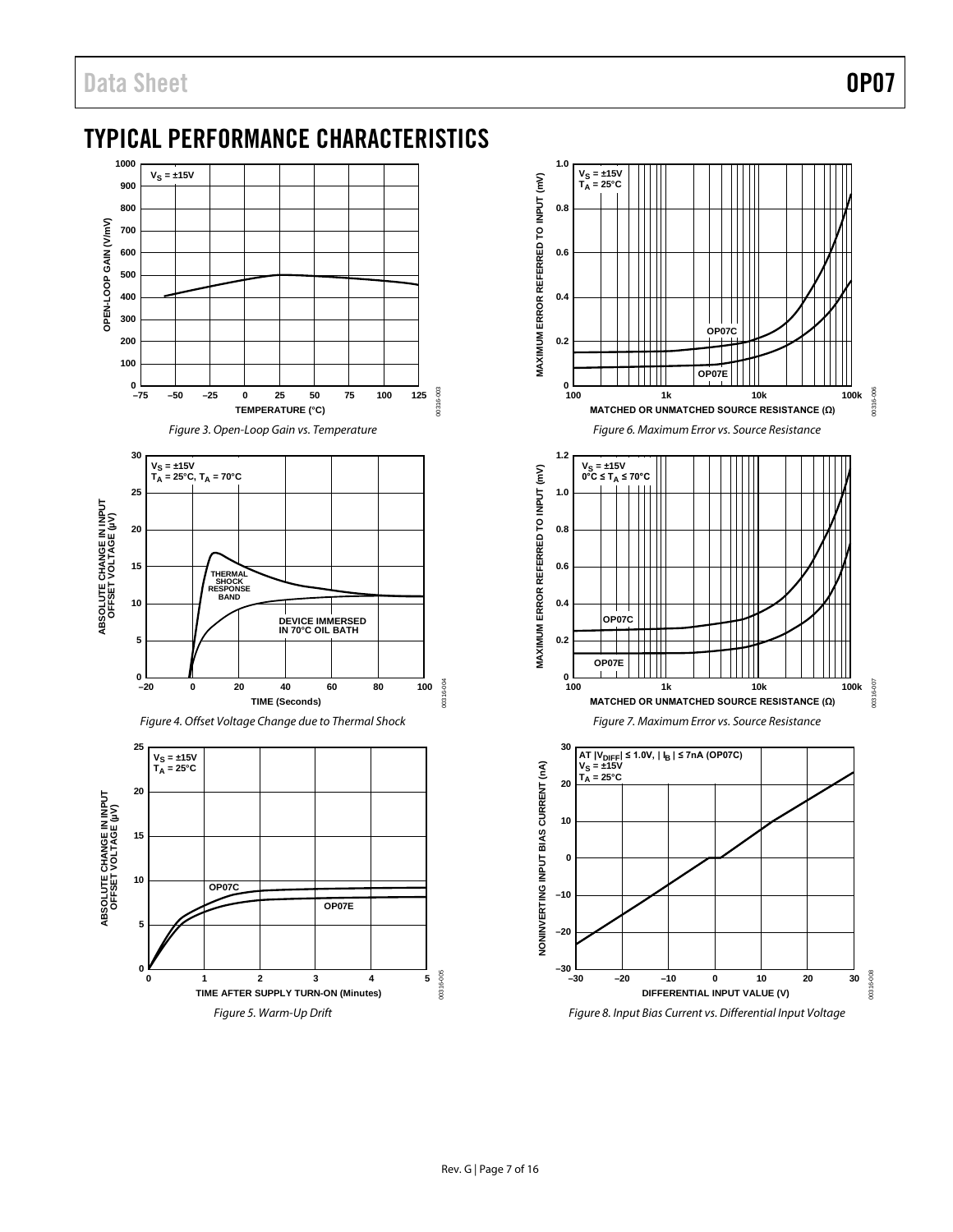## <span id="page-6-0"></span>TYPICAL PERFORMANCE CHARACTERISTICS



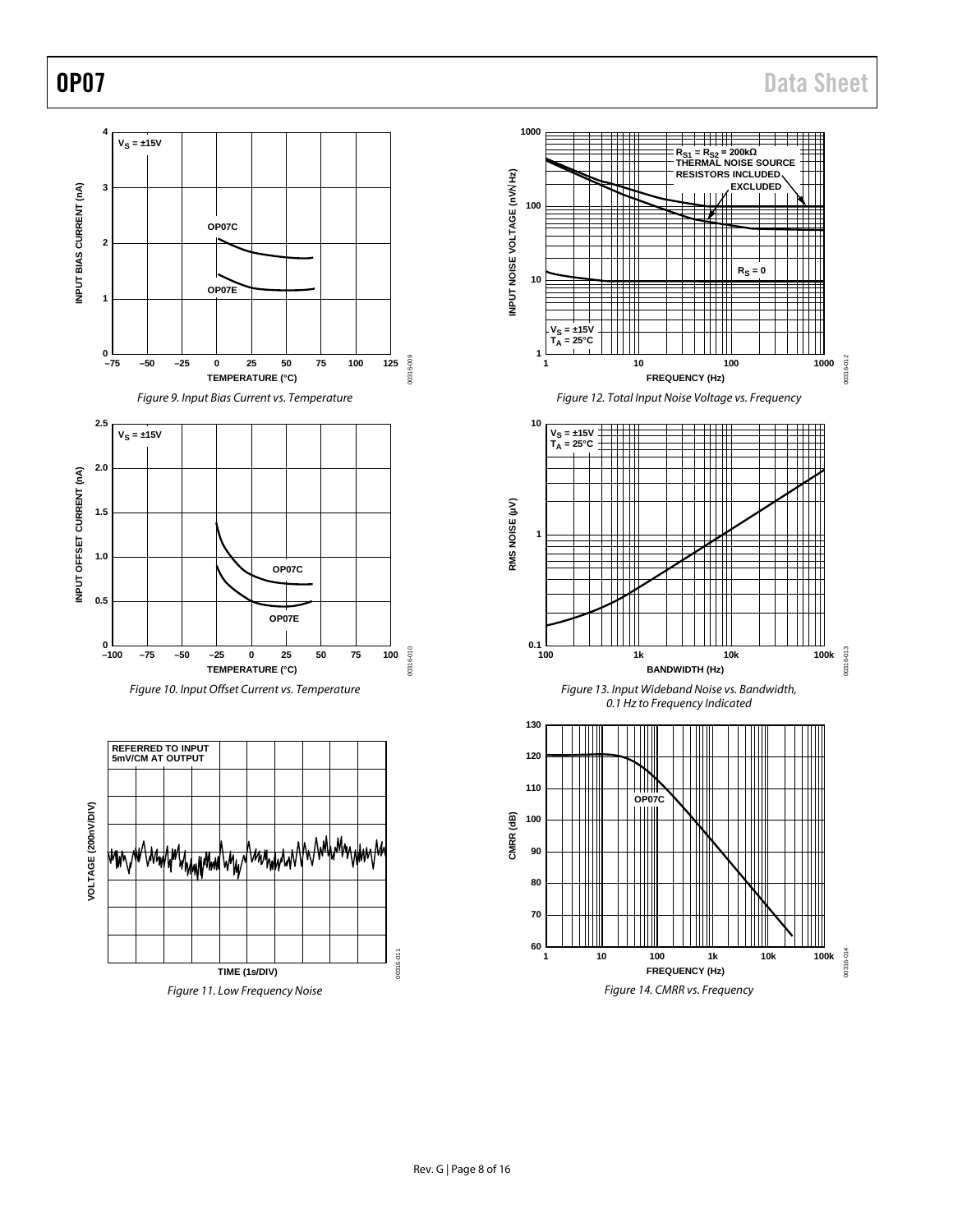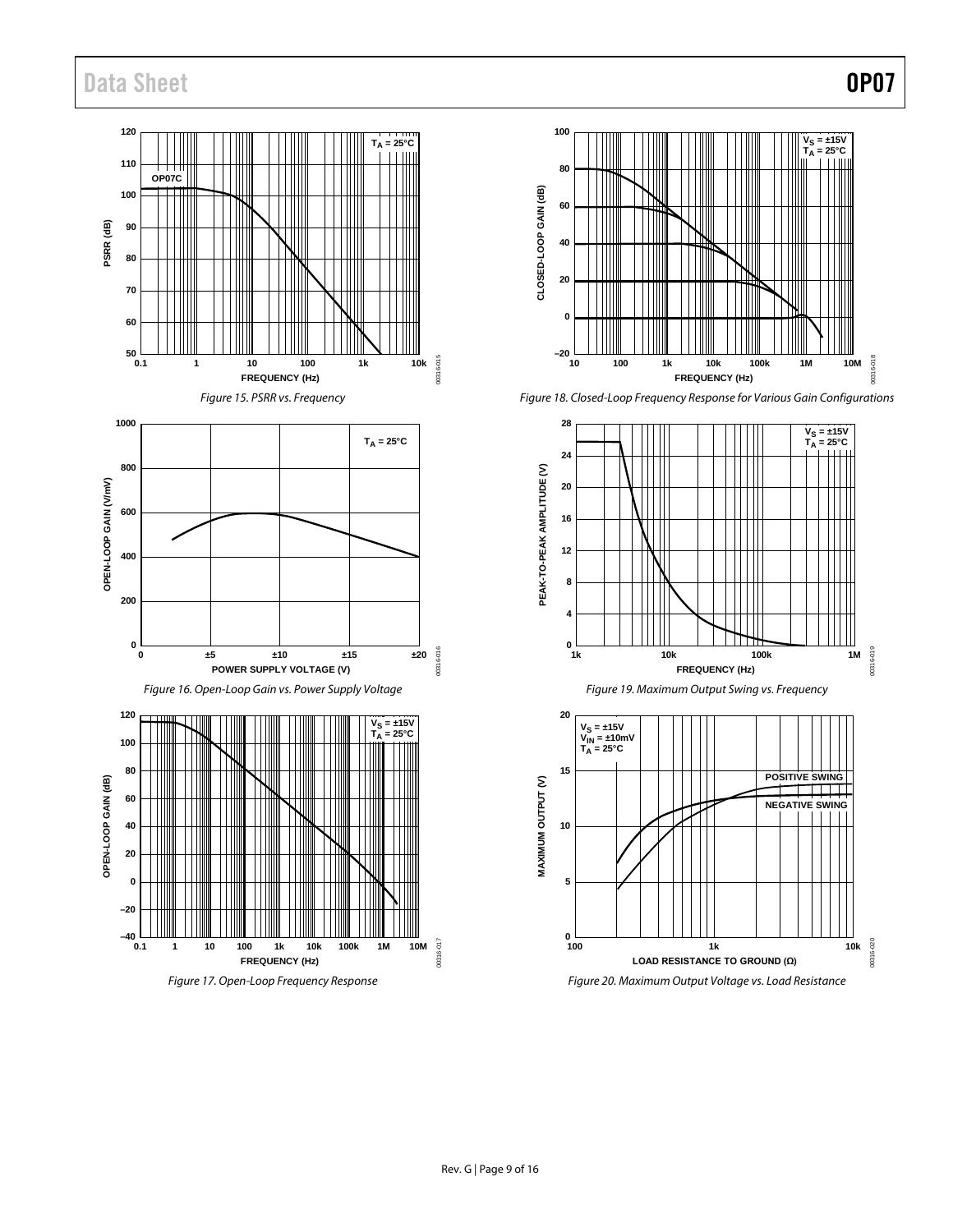





*Figure 18. Closed-Loop Frequency Response for Various Gain Configurations*

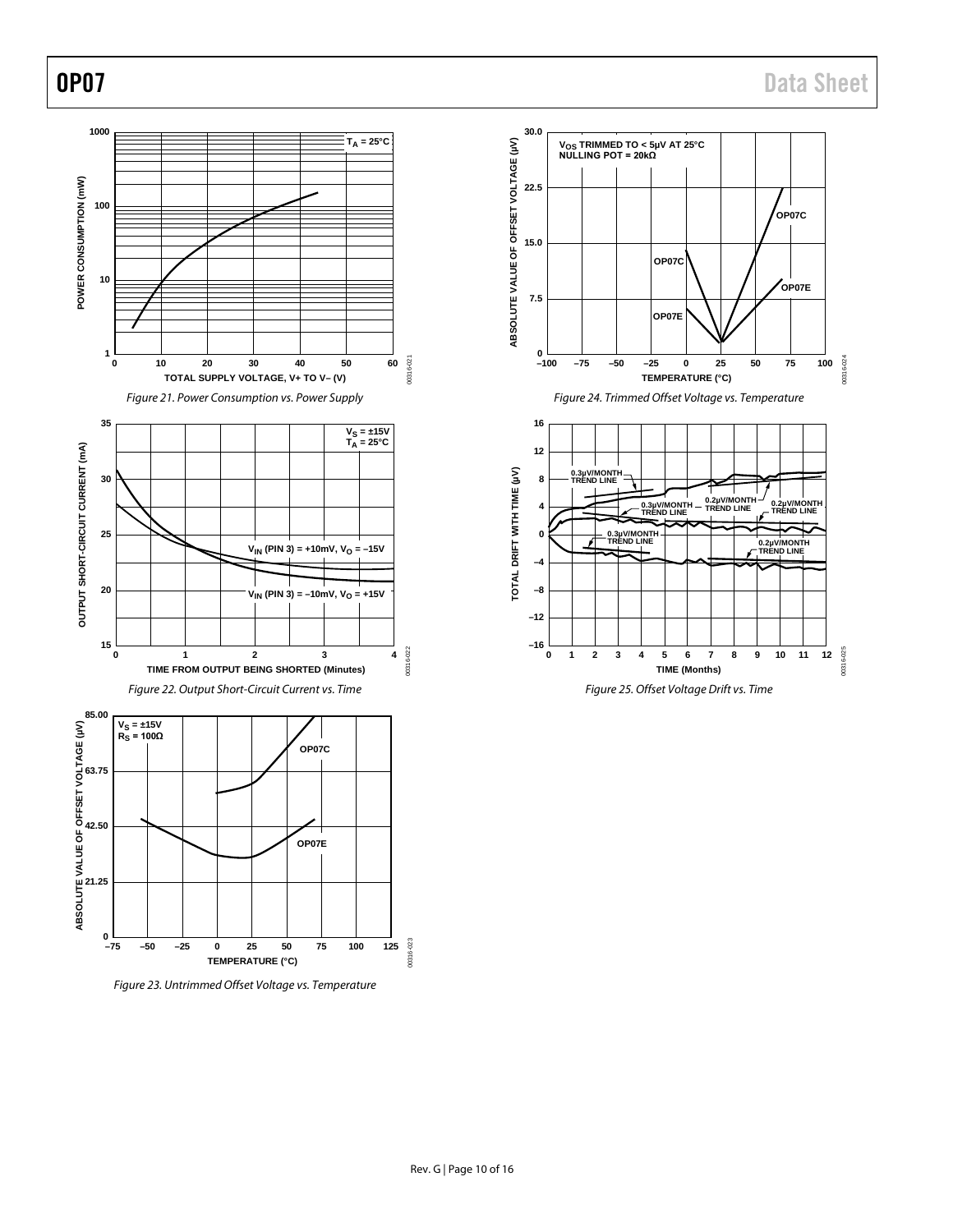

*Figure 23. Untrimmed Offset Voltage vs. Temperature*



*Figure 24. Trimmed Offset Voltage vs. Temperature*

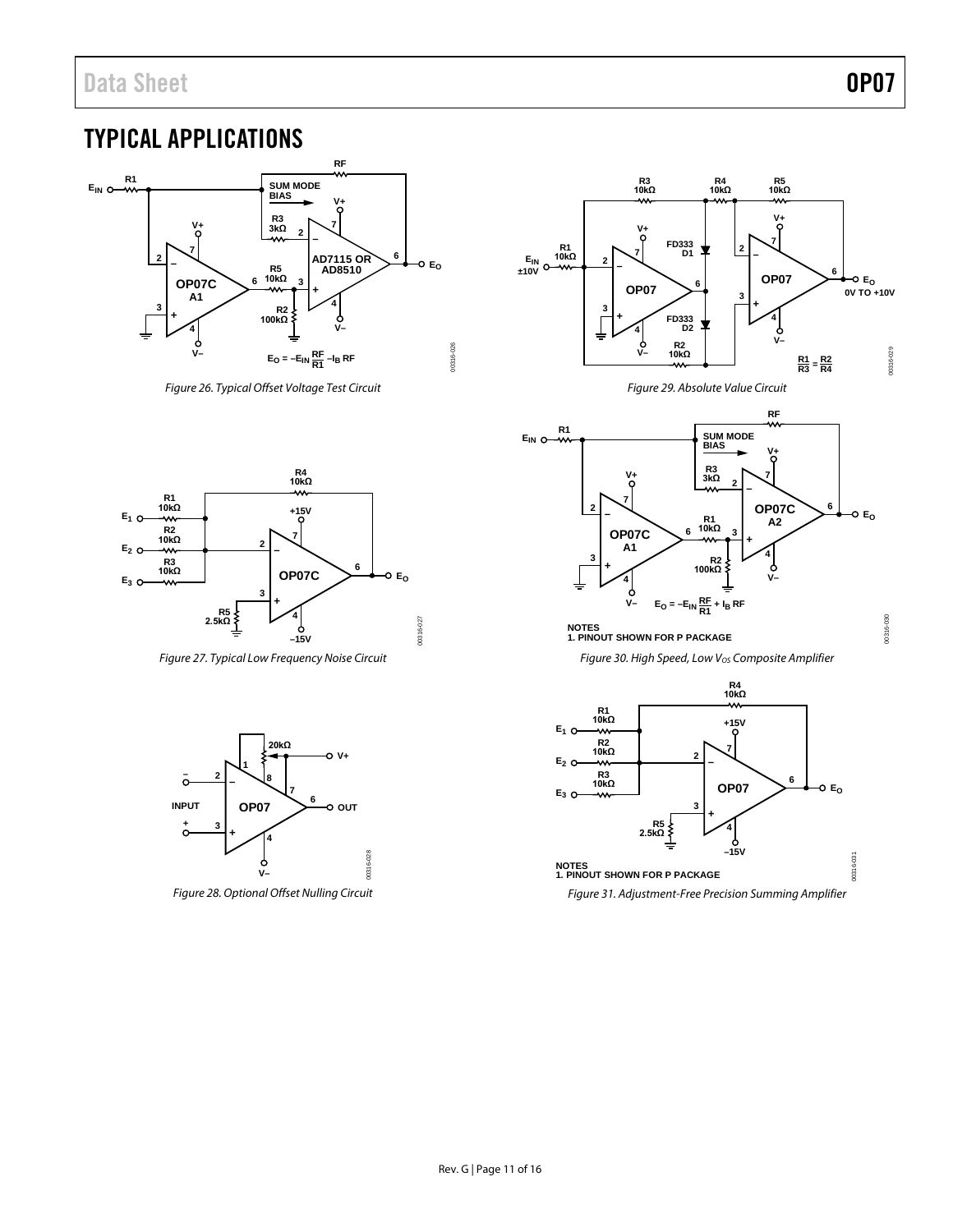### <span id="page-10-0"></span>TYPICAL APPLICATIONS



*Figure 26. Typical Offset Voltage Test Circuit*



*Figure 27. Typical Low Frequency Noise Circuit*



*Figure 28. Optional Offset Nulling Circuit*



*Figure 29. Absolute Value Circuit*



#### **NOTES 1. PINOUT SHOWN FOR P PACKAGE**

*Figure 30. High Speed, Low VOS Composite Amplifier*



*Figure 31. Adjustment-Free Precision Summing Amplifier*

00316-030 00316-030

00316-031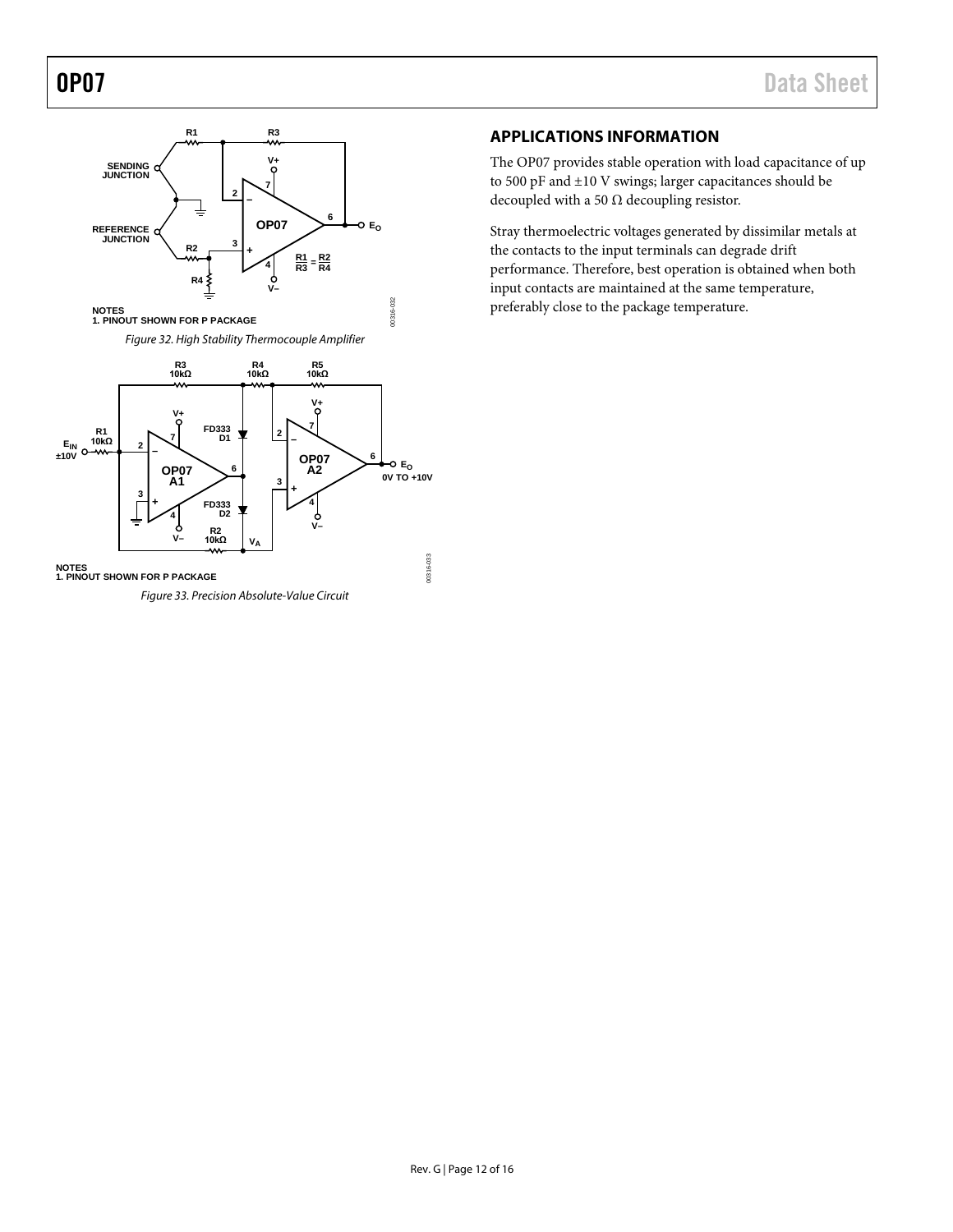

*Figure 33. Precision Absolute-Value Circuit*

### <span id="page-11-0"></span>**APPLICATIONS INFORMATION**

The OP07 provides stable operation with load capacitance of up to 500 pF and ±10 V swings; larger capacitances should be decoupled with a 50  $\Omega$  decoupling resistor.

Stray thermoelectric voltages generated by dissimilar metals at the contacts to the input terminals can degrade drift performance. Therefore, best operation is obtained when both input contacts are maintained at the same temperature, preferably close to the package temperature.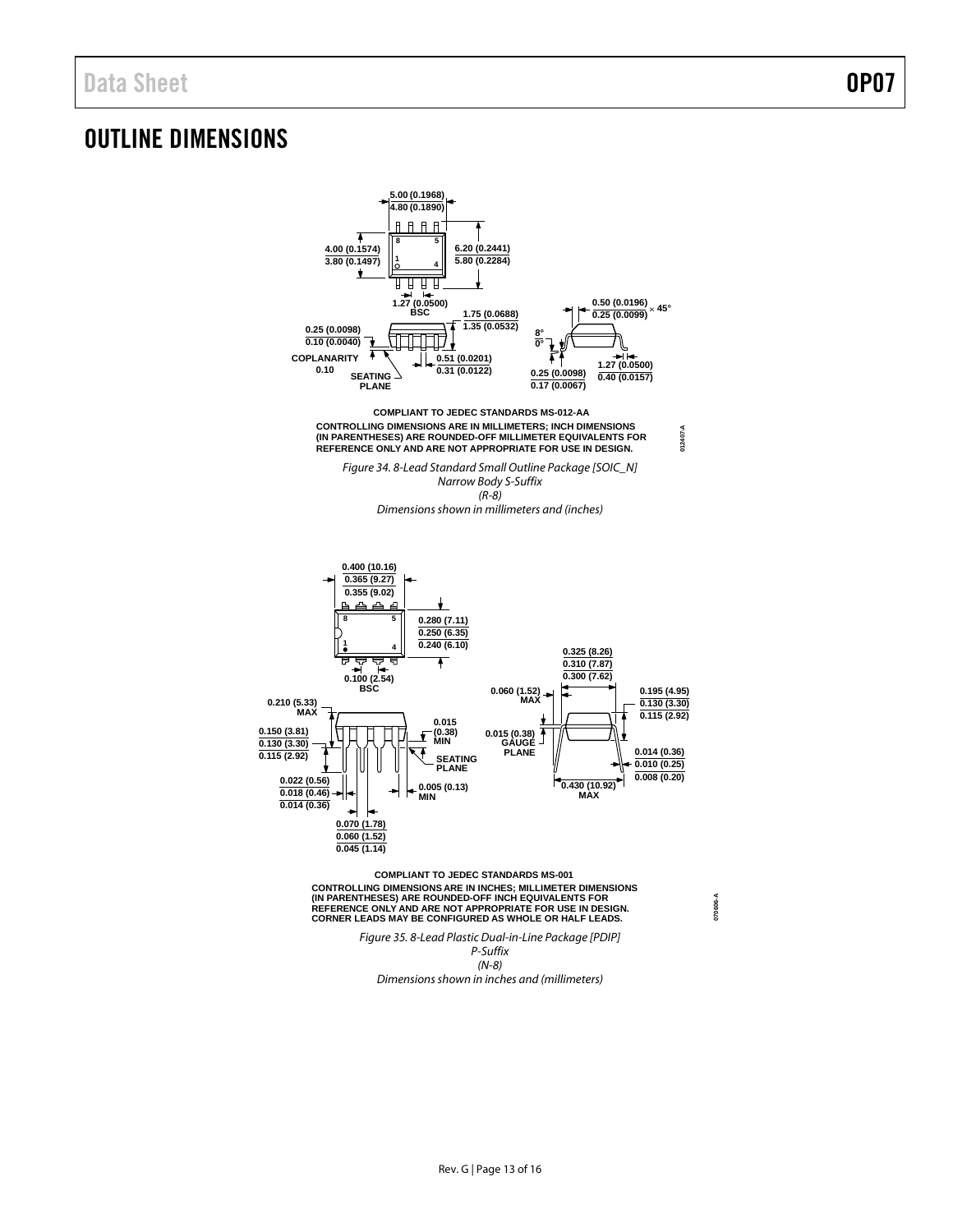### <span id="page-12-0"></span>OUTLINE DIMENSIONS



(IN PARENTHESES) ARE ROUNDED-OFF INCH EQUIVALENTS FOR<br>REFERENCE ONLY AND ARE NOT APPROPRIATE FOR USE IN DESIGN.<br>CORNER LEADS MAY BE CONFIGURED AS WHOLE OR HALF LEADS.

*Figure 35. 8-Lead Plastic Dual-in-Line Package [PDIP] P-Suffix (N-8) Dimensions shown in inches and (millimeters)*

**070606-A**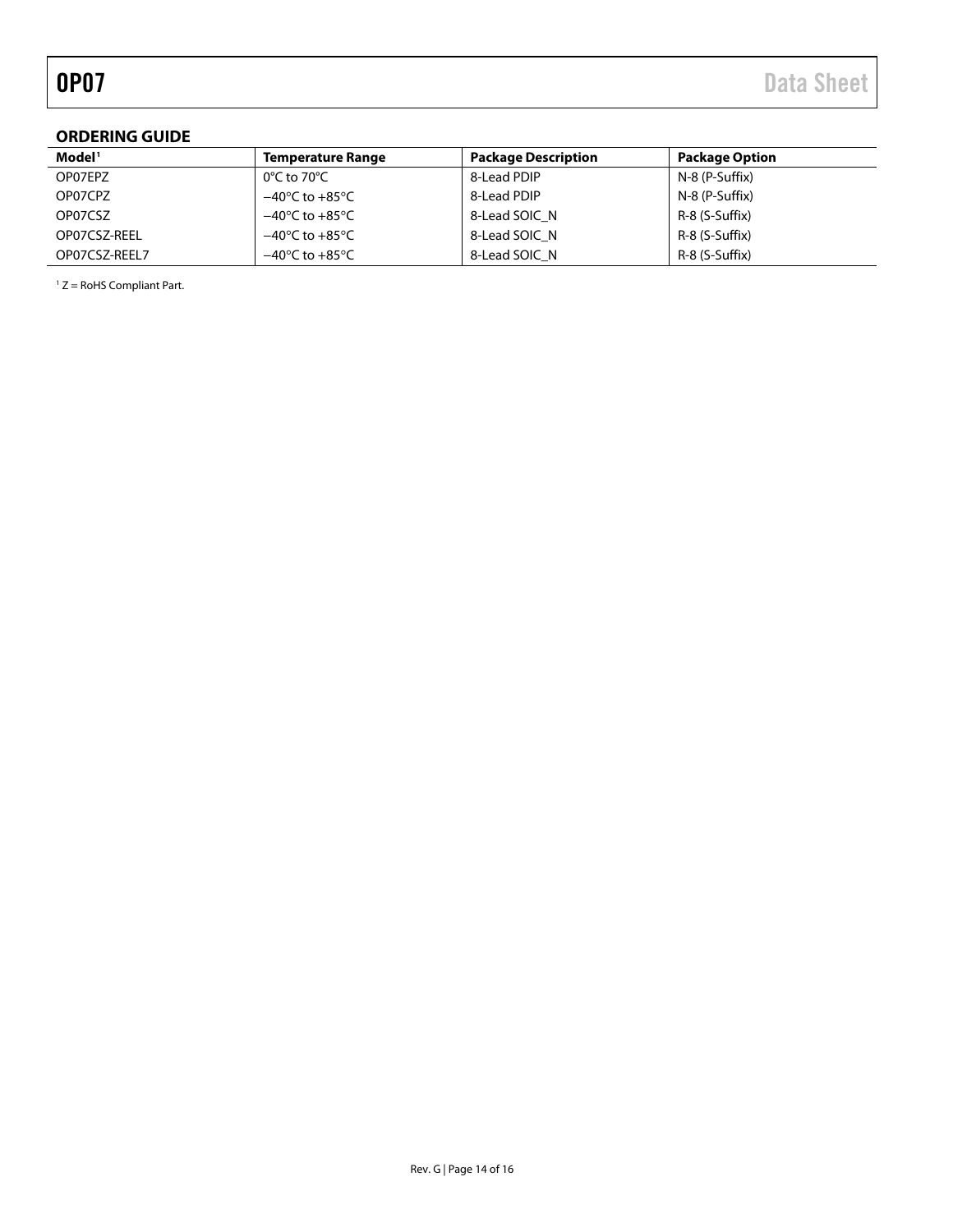#### <span id="page-13-0"></span>**ORDERING GUIDE**

| Model <sup>1</sup> | <b>Temperature Range</b>           | <b>Package Description</b> | <b>Package Option</b> |
|--------------------|------------------------------------|----------------------------|-----------------------|
| OP07EPZ            | 0°C to 70°C                        | 8-Lead PDIP                | N-8 (P-Suffix)        |
| OP07CPZ            | $-40^{\circ}$ C to $+85^{\circ}$ C | 8-Lead PDIP                | N-8 (P-Suffix)        |
| OP07CSZ            | $-40^{\circ}$ C to $+85^{\circ}$ C | 8-Lead SOIC N              | R-8 (S-Suffix)        |
| OP07CSZ-REEL       | $-40^{\circ}$ C to $+85^{\circ}$ C | 8-Lead SOIC N              | R-8 (S-Suffix)        |
| OP07CSZ-REEL7      | $-40^{\circ}$ C to $+85^{\circ}$ C | 8-Lead SOIC N              | R-8 (S-Suffix)        |

<span id="page-13-1"></span> $1 Z =$  RoHS Compliant Part.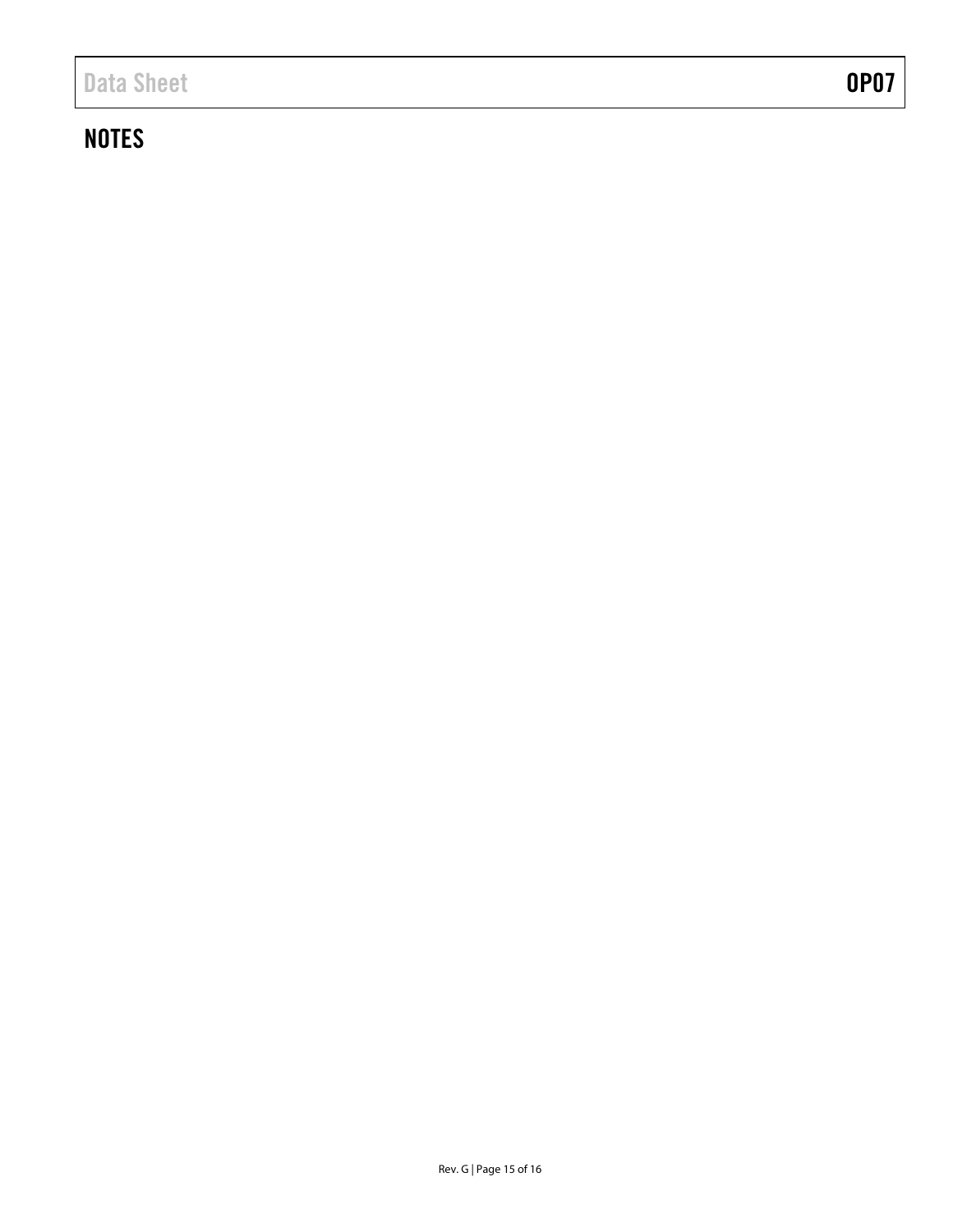## **NOTES**